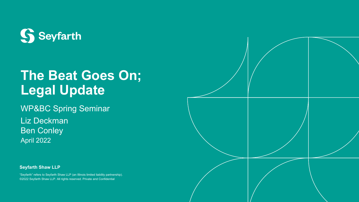

# **The Beat Goes On; Legal Update**

WP&BC Spring Seminar

Liz Deckman Ben Conley April 2022

**Seyfarth Shaw LLP**

"Seyfarth" refers to Seyfarth Shaw LLP (an Illinois limited liability partnership). ©2022 Seyfarth Shaw LLP. All rights reserved. Private and Confidential

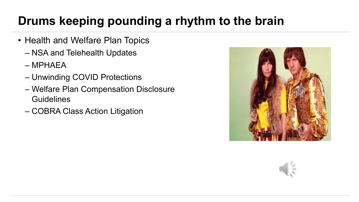### **Drums keeping pounding a rhythm to the brain**

- Health and Welfare Plan Topics
	- NSA and Telehealth Updates
	- MPHAEA
	- Unwinding COVID Protections
	- Welfare Plan Compensation Disclosure **Guidelines**
	- COBRA Class Action Litigation



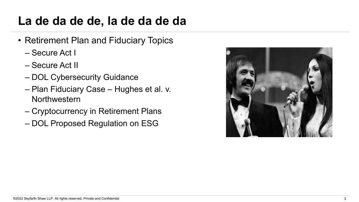### **La de da de de, la de da de da**

- Retirement Plan and Fiduciary Topics
	- Secure Act I
	- Secure Act II
	- DOL Cybersecurity Guidance
	- Plan Fiduciary Case Hughes et al. v. Northwestern
	- Cryptocurrency in Retirement Plans
	- DOL Proposed Regulation on ESG

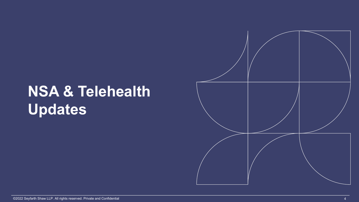# **NSA & Telehealth Updates**

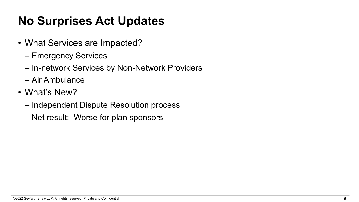### **No Surprises Act Updates**

- What Services are Impacted?
	- Emergency Services
	- In-network Services by Non-Network Providers
	- Air Ambulance
- What's New?
	- Independent Dispute Resolution process
	- Net result: Worse for plan sponsors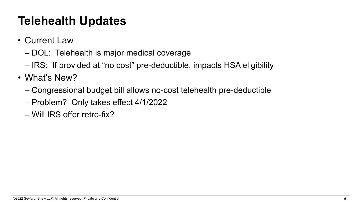### **Telehealth Updates**

- Current Law
	- DOL: Telehealth is major medical coverage
	- IRS: If provided at "no cost" pre-deductible, impacts HSA eligibility
- What's New?
	- Congressional budget bill allows no-cost telehealth pre-deductible
	- Problem? Only takes effect 4/1/2022
	- Will IRS offer retro-fix?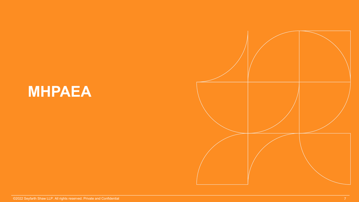# **MHPAEA**

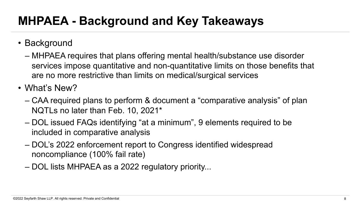### **MHPAEA - Background and Key Takeaways**

- Background
	- MHPAEA requires that plans offering mental health/substance use disorder services impose quantitative and non-quantitative limits on those benefits that are no more restrictive than limits on medical/surgical services

• What's New?

- CAA required plans to perform & document a "comparative analysis" of plan NQTLs no later than Feb. 10, 2021\*
- DOL issued FAQs identifying "at a minimum", 9 elements required to be included in comparative analysis
- DOL's 2022 enforcement report to Congress identified widespread noncompliance (100% fail rate)
- DOL lists MHPAEA as a 2022 regulatory priority...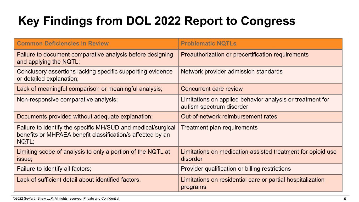# **Key Findings from DOL 2022 Report to Congress**

| <b>Common Deficiencies in Review</b>                                                                                                | <b>Problematic NQTLs</b>                                                              |  |
|-------------------------------------------------------------------------------------------------------------------------------------|---------------------------------------------------------------------------------------|--|
| Failure to document comparative analysis before designing<br>and applying the NQTL;                                                 | Preauthorization or precertification requirements                                     |  |
| Conclusory assertions lacking specific supporting evidence<br>or detailed explanation;                                              | Network provider admission standards                                                  |  |
| Lack of meaningful comparison or meaningful analysis;                                                                               | <b>Concurrent care review</b>                                                         |  |
| Non-responsive comparative analysis;                                                                                                | Limitations on applied behavior analysis or treatment for<br>autism spectrum disorder |  |
| Documents provided without adequate explanation;                                                                                    | Out-of-network reimbursement rates                                                    |  |
| Failure to identify the specific MH/SUD and medical/surgical<br>benefits or MHPAEA benefit classification/s affected by an<br>NQTL; | Treatment plan requirements                                                           |  |
| Limiting scope of analysis to only a portion of the NQTL at<br>issue;                                                               | Limitations on medication assisted treatment for opioid use<br>disorder               |  |
| Failure to identify all factors;                                                                                                    | Provider qualification or billing restrictions                                        |  |
| Lack of sufficient detail about identified factors.                                                                                 | Limitations on residential care or partial hospitalization<br>programs                |  |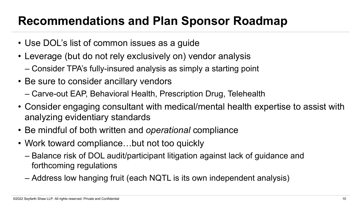#### **Recommendations and Plan Sponsor Roadmap**

- Use DOL's list of common issues as a guide
- Leverage (but do not rely exclusively on) vendor analysis
	- Consider TPA's fully-insured analysis as simply a starting point
- Be sure to consider ancillary vendors
	- Carve-out EAP, Behavioral Health, Prescription Drug, Telehealth
- Consider engaging consultant with medical/mental health expertise to assist with analyzing evidentiary standards
- Be mindful of both written and *operational* compliance
- Work toward compliance...but not too quickly
	- Balance risk of DOL audit/participant litigation against lack of guidance and forthcoming regulations
	- Address low hanging fruit (each NQTL is its own independent analysis)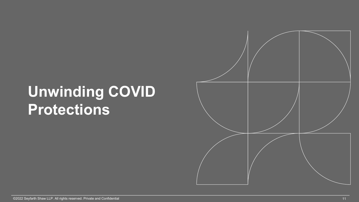# **Unwinding COVID Protections**

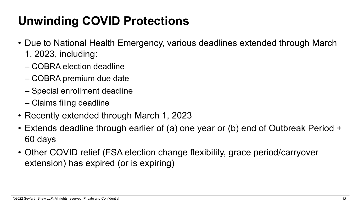### **Unwinding COVID Protections**

- Due to National Health Emergency, various deadlines extended through March 1, 2023, including:
	- COBRA election deadline
	- COBRA premium due date
	- Special enrollment deadline
	- Claims filing deadline
- Recently extended through March 1, 2023
- Extends deadline through earlier of (a) one year or (b) end of Outbreak Period + 60 days
- Other COVID relief (FSA election change flexibility, grace period/carryover extension) has expired (or is expiring)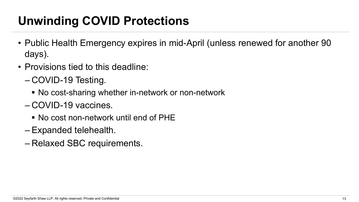### **Unwinding COVID Protections**

- Public Health Emergency expires in mid-April (unless renewed for another 90 days).
- Provisions tied to this deadline:
	- COVID-19 Testing.
		- No cost-sharing whether in-network or non-network
	- COVID-19 vaccines.
		- No cost non-network until end of PHE
	- Expanded telehealth.
	- Relaxed SBC requirements.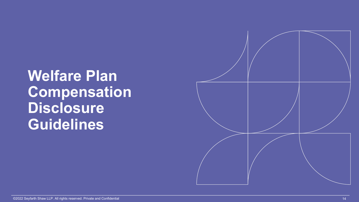# **Welfare Plan Compensation Disclosure Guidelines**

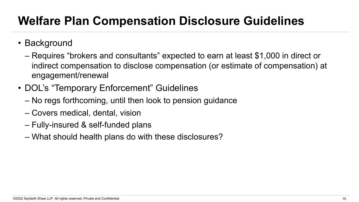### **Welfare Plan Compensation Disclosure Guidelines**

- Background
	- Requires "brokers and consultants" expected to earn at least \$1,000 in direct or indirect compensation to disclose compensation (or estimate of compensation) at engagement/renewal
- DOL's "Temporary Enforcement" Guidelines
	- No regs forthcoming, until then look to pension guidance
	- Covers medical, dental, vision
	- Fully-insured & self-funded plans
	- What should health plans do with these disclosures?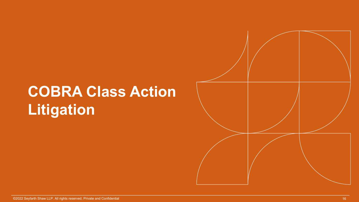# **COBRA Class Action Litigation**

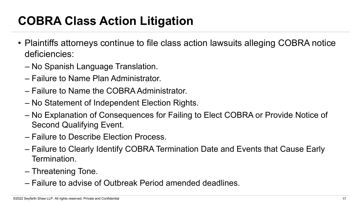# **COBRA Class Action Litigation**

- Plaintiffs attorneys continue to file class action lawsuits alleging COBRA notice deficiencies:
	- No Spanish Language Translation.
	- Failure to Name Plan Administrator.
	- Failure to Name the COBRA Administrator.
	- No Statement of Independent Election Rights.
	- No Explanation of Consequences for Failing to Elect COBRA or Provide Notice of Second Qualifying Event.
	- Failure to Describe Election Process.
	- Failure to Clearly Identify COBRA Termination Date and Events that Cause Early Termination.
	- Threatening Tone.
	- Failure to advise of Outbreak Period amended deadlines.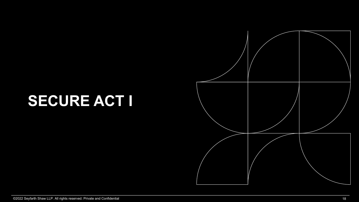# **SECURE ACT I**

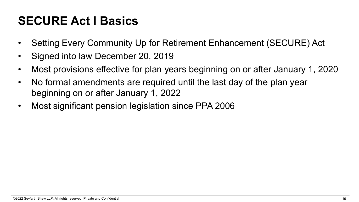### **SECURE Act I Basics**

- Setting Every Community Up for Retirement Enhancement (SECURE) Act
- Signed into law December 20, 2019
- Most provisions effective for plan years beginning on or after January 1, 2020
- No formal amendments are required until the last day of the plan year beginning on or after January 1, 2022
- Most significant pension legislation since PPA 2006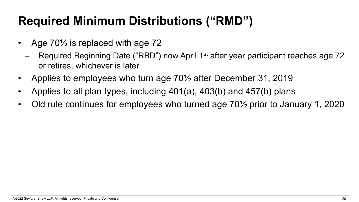### **Required Minimum Distributions ("RMD")**

- Age 70<sup>1/2</sup> is replaced with age 72
	- Required Beginning Date ("RBD") now April 1<sup>st</sup> after year participant reaches age 72 or retires, whichever is later
- Applies to employees who turn age 70½ after December 31, 2019
- Applies to all plan types, including 401(a), 403(b) and 457(b) plans
- Old rule continues for employees who turned age 70½ prior to January 1, 2020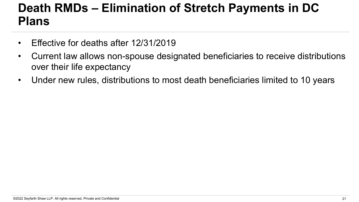#### **Death RMDs – Elimination of Stretch Payments in DC Plans**

- Effective for deaths after 12/31/2019
- Current law allows non-spouse designated beneficiaries to receive distributions over their life expectancy
- Under new rules, distributions to most death beneficiaries limited to 10 years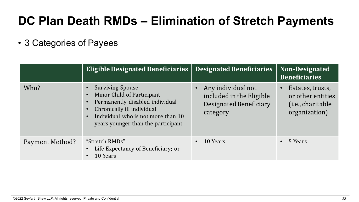### **DC Plan Death RMDs – Elimination of Stretch Payments**

• 3 Categories of Payees

|                 | <b>Eligible Designated Beneficiaries</b>                                                                                                                                                           | <b>Designated Beneficiaries</b>                                                      | <b>Non-Designated</b><br><b>Beneficiaries</b>                                               |
|-----------------|----------------------------------------------------------------------------------------------------------------------------------------------------------------------------------------------------|--------------------------------------------------------------------------------------|---------------------------------------------------------------------------------------------|
| Who?            | <b>Surviving Spouse</b><br>Minor Child of Participant<br>Permanently disabled individual<br>Chronically ill individual<br>Individual who is not more than 10<br>years younger than the participant | Any individual not<br>included in the Eligible<br>Designated Beneficiary<br>category | Estates, trusts,<br>or other entities<br>( <i>i.e.</i> , <i>charitable</i><br>organization) |
| Payment Method? | "Stretch RMDs"<br>Life Expectancy of Beneficiary; or<br>10 Years                                                                                                                                   | 10 Years<br>$\bullet$                                                                | 5 Years<br>$\bullet$                                                                        |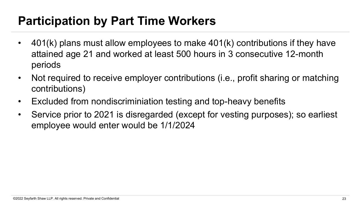### **Participation by Part Time Workers**

- 401(k) plans must allow employees to make 401(k) contributions if they have attained age 21 and worked at least 500 hours in 3 consecutive 12-month periods
- Not required to receive employer contributions (i.e., profit sharing or matching contributions)
- Excluded from nondiscriminiation testing and top-heavy benefits
- Service prior to 2021 is disregarded (except for vesting purposes); so earliest employee would enter would be 1/1/2024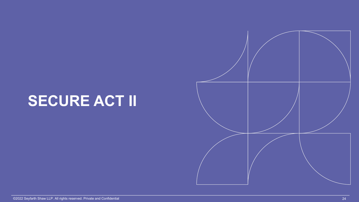# **SECURE ACT II**

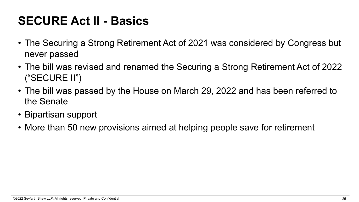### **SECURE Act II - Basics**

- The Securing a Strong Retirement Act of 2021 was considered by Congress but never passed
- The bill was revised and renamed the Securing a Strong Retirement Act of 2022 ("SECURE II")
- The bill was passed by the House on March 29, 2022 and has been referred to the Senate
- Bipartisan support
- More than 50 new provisions aimed at helping people save for retirement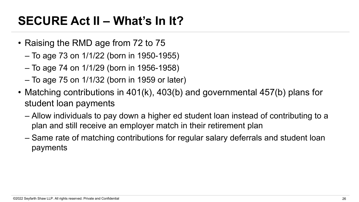### **SECURE Act II – What's In It?**

- Raising the RMD age from 72 to 75
	- To age 73 on 1/1/22 (born in 1950-1955)
	- To age 74 on 1/1/29 (born in 1956-1958)
	- To age 75 on 1/1/32 (born in 1959 or later)
- Matching contributions in 401(k), 403(b) and governmental 457(b) plans for student loan payments
	- Allow individuals to pay down a higher ed student loan instead of contributing to a plan and still receive an employer match in their retirement plan
	- Same rate of matching contributions for regular salary deferrals and student loan payments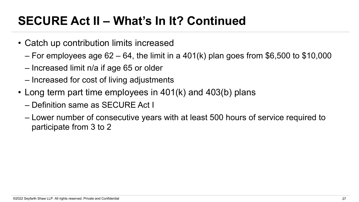### **SECURE Act II – What's In It? Continued**

- Catch up contribution limits increased
	- For employees age  $62 64$ , the limit in a  $401(k)$  plan goes from \$6,500 to \$10,000
	- Increased limit n/a if age 65 or older
	- Increased for cost of living adjustments
- Long term part time employees in 401(k) and 403(b) plans
	- Definition same as SECURE Act I
	- Lower number of consecutive years with at least 500 hours of service required to participate from 3 to 2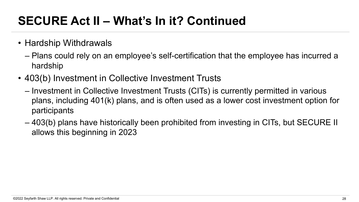# **SECURE Act II – What's In it? Continued**

- Hardship Withdrawals
	- Plans could rely on an employee's self-certification that the employee has incurred a hardship
- 403(b) Investment in Collective Investment Trusts
	- Investment in Collective Investment Trusts (CITs) is currently permitted in various plans, including 401(k) plans, and is often used as a lower cost investment option for participants
	- 403(b) plans have historically been prohibited from investing in CITs, but SECURE II allows this beginning in 2023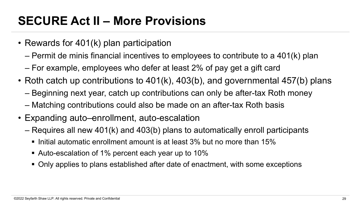### **SECURE Act II – More Provisions**

- Rewards for 401(k) plan participation
	- Permit de minis financial incentives to employees to contribute to a 401(k) plan
	- For example, employees who defer at least 2% of pay get a gift card
- Roth catch up contributions to 401(k), 403(b), and governmental 457(b) plans
	- Beginning next year, catch up contributions can only be after-tax Roth money
	- Matching contributions could also be made on an after-tax Roth basis
- Expanding auto–enrollment, auto-escalation
	- Requires all new 401(k) and 403(b) plans to automatically enroll participants
		- Initial automatic enrollment amount is at least 3% but no more than 15%
		- § Auto-escalation of 1% percent each year up to 10%
		- Only applies to plans established after date of enactment, with some exceptions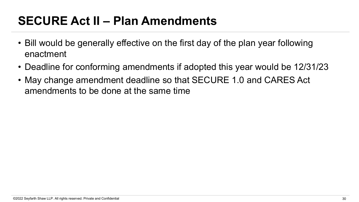### **SECURE Act II – Plan Amendments**

- Bill would be generally effective on the first day of the plan year following enactment
- Deadline for conforming amendments if adopted this year would be 12/31/23
- May change amendment deadline so that SECURE 1.0 and CARES Act amendments to be done at the same time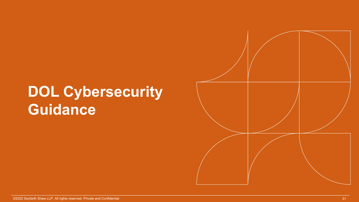# **DOL Cybersecurity Guidance**

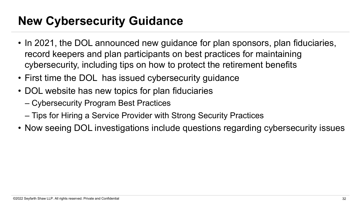### **New Cybersecurity Guidance**

- In 2021, the DOL announced new guidance for plan sponsors, plan fiduciaries, record keepers and plan participants on best practices for maintaining cybersecurity, including tips on how to protect the retirement benefits
- First time the DOL has issued cybersecurity guidance
- DOL website has new topics for plan fiduciaries
	- Cybersecurity Program Best Practices
	- Tips for Hiring a Service Provider with Strong Security Practices
- Now seeing DOL investigations include questions regarding cybersecurity issues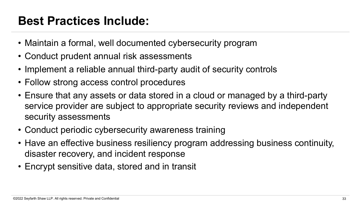#### **Best Practices Include:**

- Maintain a formal, well documented cybersecurity program
- Conduct prudent annual risk assessments
- Implement a reliable annual third-party audit of security controls
- Follow strong access control procedures
- Ensure that any assets or data stored in a cloud or managed by a third-party service provider are subject to appropriate security reviews and independent security assessments
- Conduct periodic cybersecurity awareness training
- Have an effective business resiliency program addressing business continuity, disaster recovery, and incident response
- Encrypt sensitive data, stored and in transit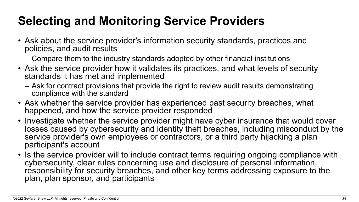# **Selecting and Monitoring Service Providers**

- Ask about the service provider's information security standards, practices and policies, and audit results
	- Compare them to the industry standards adopted by other financial institutions
- Ask the service provider how it validates its practices, and what levels of security standards it has met and implemented
	- Ask for contract provisions that provide the right to review audit results demonstrating compliance with the standard
- Ask whether the service provider has experienced past security breaches, what happened, and how the service provider responded
- Investigate whether the service provider might have cyber insurance that would cover losses caused by cybersecurity and identity theft breaches, including misconduct by the service provider's own employees or contractors, or a third party hijacking a plan participant's account
- Is the service provider will to include contract terms requiring ongoing compliance with cybersecurity, clear rules concerning use and disclosure of personal information, responsibility for security breaches, and other key terms addressing exposure to the plan, plan sponsor, and participants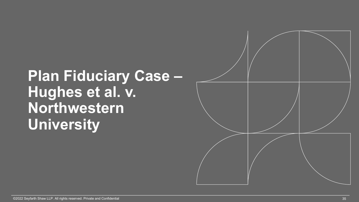# **Plan Fiduciary Case – Hughes et al. v. Northwestern University**

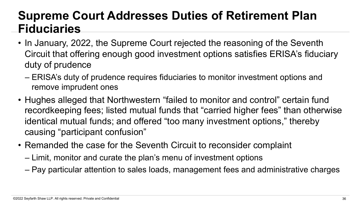#### **Supreme Court Addresses Duties of Retirement Plan Fiduciaries**

- In January, 2022, the Supreme Court rejected the reasoning of the Seventh Circuit that offering enough good investment options satisfies ERISA's fiduciary duty of prudence
	- ERISA's duty of prudence requires fiduciaries to monitor investment options and remove imprudent ones
- Hughes alleged that Northwestern "failed to monitor and control" certain fund recordkeeping fees; listed mutual funds that "carried higher fees" than otherwise identical mutual funds; and offered "too many investment options," thereby causing "participant confusion"
- Remanded the case for the Seventh Circuit to reconsider complaint
	- Limit, monitor and curate the plan's menu of investment options
	- Pay particular attention to sales loads, management fees and administrative charges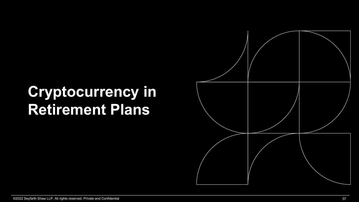# **Cryptocurrency in Retirement Plans**

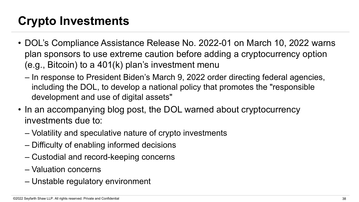### **Crypto Investments**

- DOL's Compliance Assistance Release No. 2022-01 on March 10, 2022 warns plan sponsors to use extreme caution before adding a cryptocurrency option (e.g., Bitcoin) to a 401(k) plan's investment menu
	- In response to President Biden's March 9, 2022 order directing federal agencies, including the DOL, to develop a national policy that promotes the "responsible development and use of digital assets"
- In an accompanying blog post, the DOL warned about cryptocurrency investments due to:
	- Volatility and speculative nature of crypto investments
	- Difficulty of enabling informed decisions
	- Custodial and record-keeping concerns
	- Valuation concerns
	- Unstable regulatory environment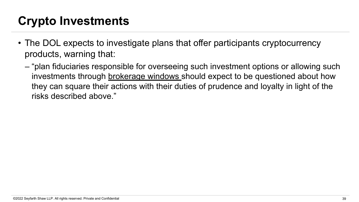### **Crypto Investments**

- The DOL expects to investigate plans that offer participants cryptocurrency products, warning that:
	- "plan fiduciaries responsible for overseeing such investment options or allowing such investments through brokerage windows should expect to be questioned about how they can square their actions with their duties of prudence and loyalty in light of the risks described above."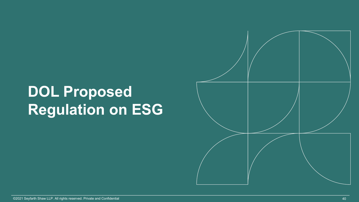# **DOL Proposed Regulation on ESG**

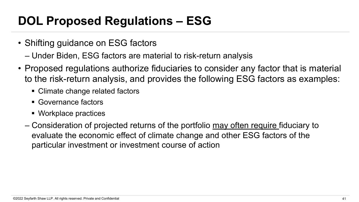### **DOL Proposed Regulations – ESG**

- Shifting guidance on ESG factors
	- Under Biden, ESG factors are material to risk-return analysis
- Proposed regulations authorize fiduciaries to consider any factor that is material to the risk-return analysis, and provides the following ESG factors as examples:
	- Climate change related factors
	- Governance factors
	- Workplace practices
	- Consideration of projected returns of the portfolio may often require fiduciary to evaluate the economic effect of climate change and other ESG factors of the particular investment or investment course of action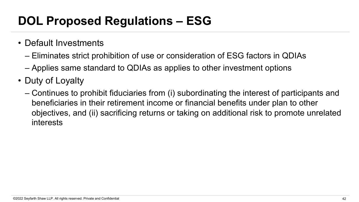### **DOL Proposed Regulations – ESG**

- Default Investments
	- Eliminates strict prohibition of use or consideration of ESG factors in QDIAs
	- Applies same standard to QDIAs as applies to other investment options
- Duty of Loyalty
	- Continues to prohibit fiduciaries from (i) subordinating the interest of participants and beneficiaries in their retirement income or financial benefits under plan to other objectives, and (ii) sacrificing returns or taking on additional risk to promote unrelated interests